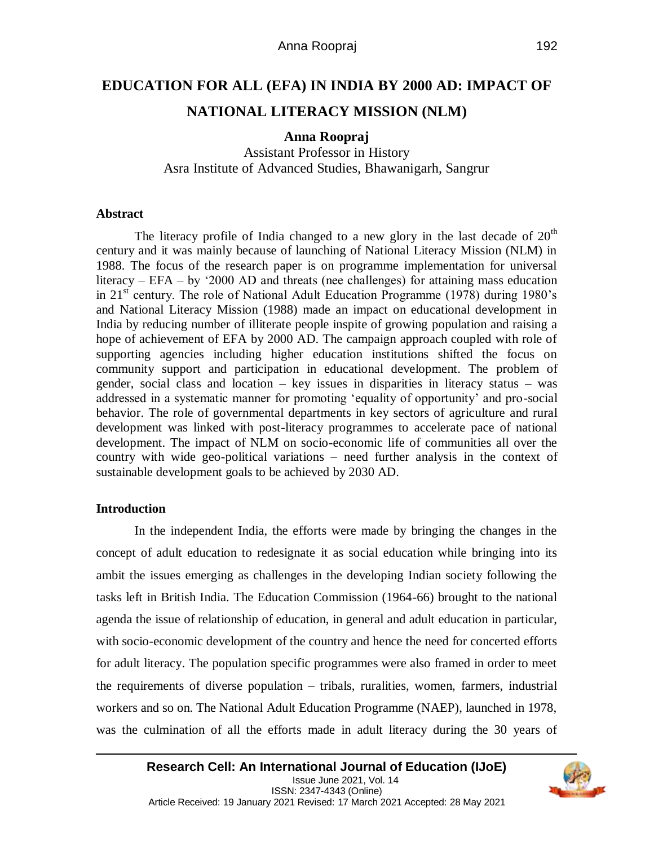# **EDUCATION FOR ALL (EFA) IN INDIA BY 2000 AD: IMPACT OF NATIONAL LITERACY MISSION (NLM)**

## **Anna Roopraj**

Assistant Professor in History Asra Institute of Advanced Studies, Bhawanigarh, Sangrur

## **Abstract**

The literacy profile of India changed to a new glory in the last decade of  $20<sup>th</sup>$ century and it was mainly because of launching of National Literacy Mission (NLM) in 1988. The focus of the research paper is on programme implementation for universal literacy – EFA – by '2000 AD and threats (nee challenges) for attaining mass education in 21<sup>st</sup> century. The role of National Adult Education Programme (1978) during 1980's and National Literacy Mission (1988) made an impact on educational development in India by reducing number of illiterate people inspite of growing population and raising a hope of achievement of EFA by 2000 AD. The campaign approach coupled with role of supporting agencies including higher education institutions shifted the focus on community support and participation in educational development. The problem of gender, social class and location – key issues in disparities in literacy status – was addressed in a systematic manner for promoting 'equality of opportunity' and pro-social behavior. The role of governmental departments in key sectors of agriculture and rural development was linked with post-literacy programmes to accelerate pace of national development. The impact of NLM on socio-economic life of communities all over the country with wide geo-political variations – need further analysis in the context of sustainable development goals to be achieved by 2030 AD.

## **Introduction**

In the independent India, the efforts were made by bringing the changes in the concept of adult education to redesignate it as social education while bringing into its ambit the issues emerging as challenges in the developing Indian society following the tasks left in British India. The Education Commission (1964-66) brought to the national agenda the issue of relationship of education, in general and adult education in particular, with socio-economic development of the country and hence the need for concerted efforts for adult literacy. The population specific programmes were also framed in order to meet the requirements of diverse population – tribals, ruralities, women, farmers, industrial workers and so on. The National Adult Education Programme (NAEP), launched in 1978, was the culmination of all the efforts made in adult literacy during the 30 years of

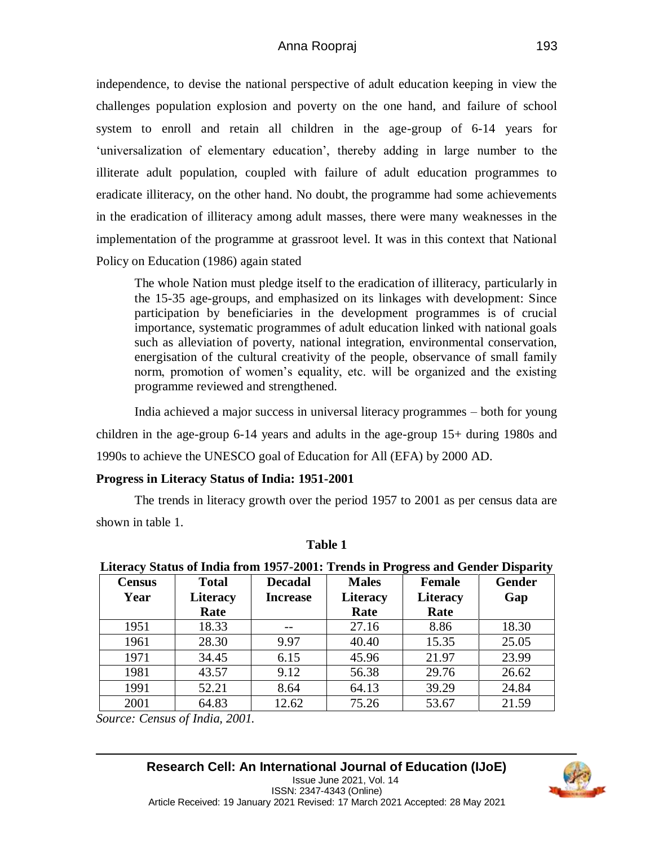independence, to devise the national perspective of adult education keeping in view the challenges population explosion and poverty on the one hand, and failure of school system to enroll and retain all children in the age-group of 6-14 years for 'universalization of elementary education', thereby adding in large number to the illiterate adult population, coupled with failure of adult education programmes to eradicate illiteracy, on the other hand. No doubt, the programme had some achievements in the eradication of illiteracy among adult masses, there were many weaknesses in the implementation of the programme at grassroot level. It was in this context that National Policy on Education (1986) again stated

The whole Nation must pledge itself to the eradication of illiteracy, particularly in the 15-35 age-groups, and emphasized on its linkages with development: Since participation by beneficiaries in the development programmes is of crucial importance, systematic programmes of adult education linked with national goals such as alleviation of poverty, national integration, environmental conservation, energisation of the cultural creativity of the people, observance of small family norm, promotion of women's equality, etc. will be organized and the existing programme reviewed and strengthened.

India achieved a major success in universal literacy programmes – both for young children in the age-group 6-14 years and adults in the age-group 15+ during 1980s and 1990s to achieve the UNESCO goal of Education for All (EFA) by 2000 AD.

## **Progress in Literacy Status of India: 1951-2001**

The trends in literacy growth over the period 1957 to 2001 as per census data are shown in table 1.

| Literacy Status of India from 1957-2001: Trends in Progress and Gender Disparity |                 |                 |                 |                 |               |
|----------------------------------------------------------------------------------|-----------------|-----------------|-----------------|-----------------|---------------|
| <b>Census</b>                                                                    | <b>Total</b>    | <b>Decadal</b>  | <b>Males</b>    | <b>Female</b>   | <b>Gender</b> |
| Year                                                                             | <b>Literacy</b> | <b>Increase</b> | <b>Literacy</b> | <b>Literacy</b> | Gap           |
|                                                                                  | Rate            |                 | Rate            | Rate            |               |
| 1951                                                                             | 18.33           |                 | 27.16           | 8.86            | 18.30         |
| 1961                                                                             | 28.30           | 9.97            | 40.40           | 15.35           | 25.05         |
| 1971                                                                             | 34.45           | 6.15            | 45.96           | 21.97           | 23.99         |
| 1981                                                                             | 43.57           | 9.12            | 56.38           | 29.76           | 26.62         |
| 1991                                                                             | 52.21           | 8.64            | 64.13           | 39.29           | 24.84         |
| 2001                                                                             | 64.83           | 12.62           | 75.26           | 53.67           | 21.59         |

## **Table 1**

## **Literacy Status of India from 1957-2001: Trends in Progress and Gender Disparity**

*Source: Census of India, 2001.*

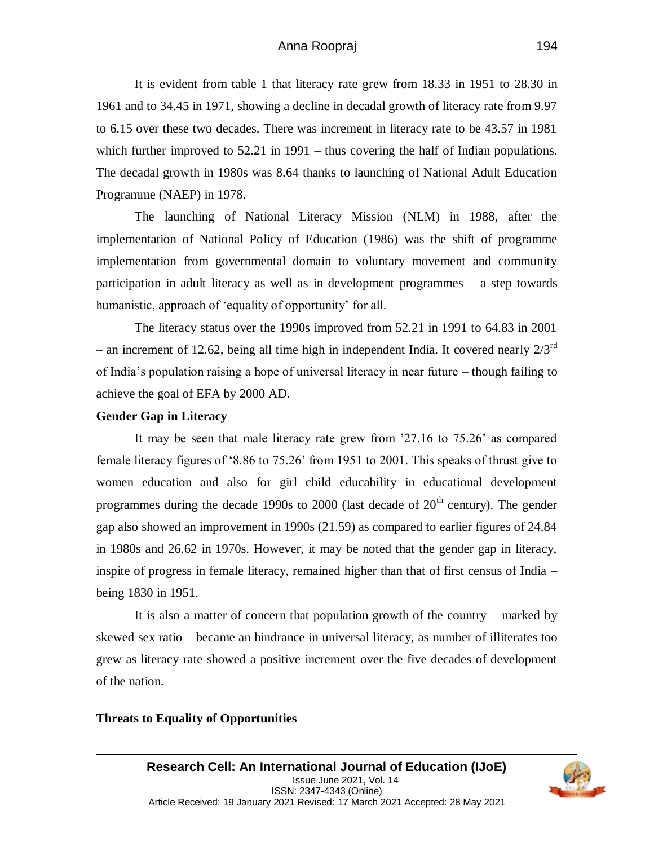## Anna Roopraj

It is evident from table 1 that literacy rate grew from 18.33 in 1951 to 28.30 in 1961 and to 34.45 in 1971, showing a decline in decadal growth of literacy rate from 9.97 to 6.15 over these two decades. There was increment in literacy rate to be 43.57 in 1981 which further improved to 52.21 in 1991 – thus covering the half of Indian populations. The decadal growth in 1980s was 8.64 thanks to launching of National Adult Education Programme (NAEP) in 1978.

The launching of National Literacy Mission (NLM) in 1988, after the implementation of National Policy of Education (1986) was the shift of programme implementation from governmental domain to voluntary movement and community participation in adult literacy as well as in development programmes – a step towards humanistic, approach of 'equality of opportunity' for all.

The literacy status over the 1990s improved from 52.21 in 1991 to 64.83 in 2001 – an increment of 12.62, being all time high in independent India. It covered nearly  $2/3^{rd}$ of India's population raising a hope of universal literacy in near future – though failing to achieve the goal of EFA by 2000 AD.

#### **Gender Gap in Literacy**

It may be seen that male literacy rate grew from '27.16 to 75.26' as compared female literacy figures of '8.86 to 75.26' from 1951 to 2001. This speaks of thrust give to women education and also for girl child educability in educational development programmes during the decade 1990s to  $2000$  (last decade of  $20<sup>th</sup>$  century). The gender gap also showed an improvement in 1990s (21.59) as compared to earlier figures of 24.84 in 1980s and 26.62 in 1970s. However, it may be noted that the gender gap in literacy, inspite of progress in female literacy, remained higher than that of first census of India – being 1830 in 1951.

It is also a matter of concern that population growth of the country – marked by skewed sex ratio – became an hindrance in universal literacy, as number of illiterates too grew as literacy rate showed a positive increment over the five decades of development of the nation.

### **Threats to Equality of Opportunities**

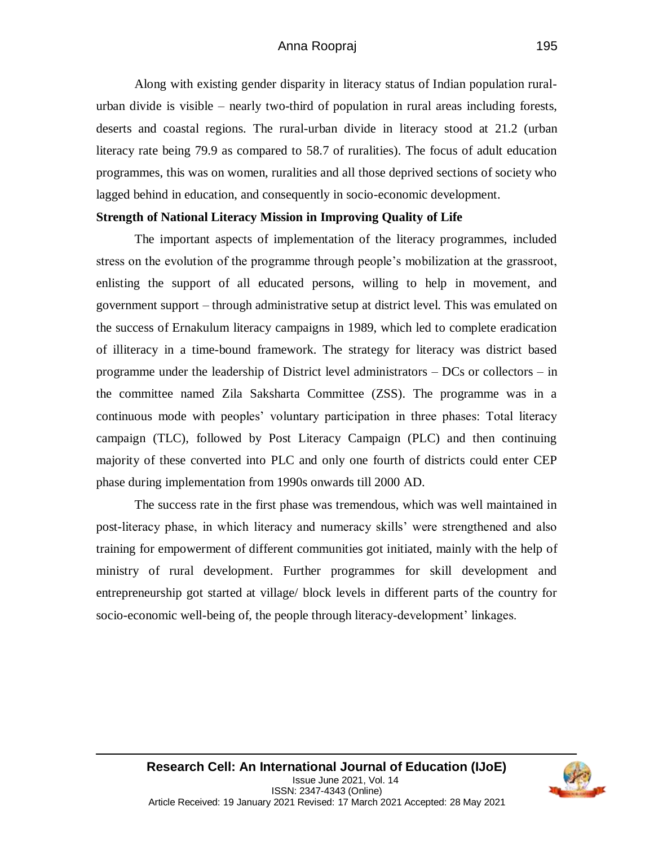## Anna Roopraj

Along with existing gender disparity in literacy status of Indian population ruralurban divide is visible – nearly two-third of population in rural areas including forests, deserts and coastal regions. The rural-urban divide in literacy stood at 21.2 (urban literacy rate being 79.9 as compared to 58.7 of ruralities). The focus of adult education programmes, this was on women, ruralities and all those deprived sections of society who lagged behind in education, and consequently in socio-economic development.

#### **Strength of National Literacy Mission in Improving Quality of Life**

The important aspects of implementation of the literacy programmes, included stress on the evolution of the programme through people's mobilization at the grassroot, enlisting the support of all educated persons, willing to help in movement, and government support – through administrative setup at district level. This was emulated on the success of Ernakulum literacy campaigns in 1989, which led to complete eradication of illiteracy in a time-bound framework. The strategy for literacy was district based programme under the leadership of District level administrators – DCs or collectors – in the committee named Zila Saksharta Committee (ZSS). The programme was in a continuous mode with peoples' voluntary participation in three phases: Total literacy campaign (TLC), followed by Post Literacy Campaign (PLC) and then continuing majority of these converted into PLC and only one fourth of districts could enter CEP phase during implementation from 1990s onwards till 2000 AD.

The success rate in the first phase was tremendous, which was well maintained in post-literacy phase, in which literacy and numeracy skills' were strengthened and also training for empowerment of different communities got initiated, mainly with the help of ministry of rural development. Further programmes for skill development and entrepreneurship got started at village/ block levels in different parts of the country for socio-economic well-being of, the people through literacy-development' linkages.

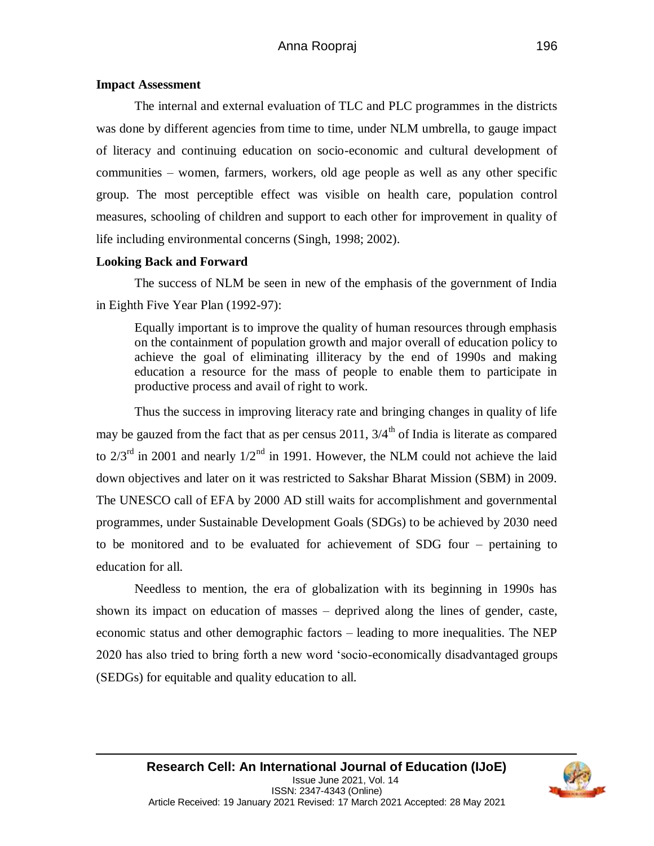#### **Impact Assessment**

The internal and external evaluation of TLC and PLC programmes in the districts was done by different agencies from time to time, under NLM umbrella, to gauge impact of literacy and continuing education on socio-economic and cultural development of communities – women, farmers, workers, old age people as well as any other specific group. The most perceptible effect was visible on health care, population control measures, schooling of children and support to each other for improvement in quality of life including environmental concerns (Singh, 1998; 2002).

#### **Looking Back and Forward**

The success of NLM be seen in new of the emphasis of the government of India in Eighth Five Year Plan (1992-97):

Equally important is to improve the quality of human resources through emphasis on the containment of population growth and major overall of education policy to achieve the goal of eliminating illiteracy by the end of 1990s and making education a resource for the mass of people to enable them to participate in productive process and avail of right to work.

Thus the success in improving literacy rate and bringing changes in quality of life may be gauzed from the fact that as per census 2011,  $3/4<sup>th</sup>$  of India is literate as compared to  $2/3^{rd}$  in 2001 and nearly  $1/2^{nd}$  in 1991. However, the NLM could not achieve the laid down objectives and later on it was restricted to Sakshar Bharat Mission (SBM) in 2009. The UNESCO call of EFA by 2000 AD still waits for accomplishment and governmental programmes, under Sustainable Development Goals (SDGs) to be achieved by 2030 need to be monitored and to be evaluated for achievement of SDG four – pertaining to education for all.

Needless to mention, the era of globalization with its beginning in 1990s has shown its impact on education of masses – deprived along the lines of gender, caste, economic status and other demographic factors – leading to more inequalities. The NEP 2020 has also tried to bring forth a new word 'socio-economically disadvantaged groups (SEDGs) for equitable and quality education to all.